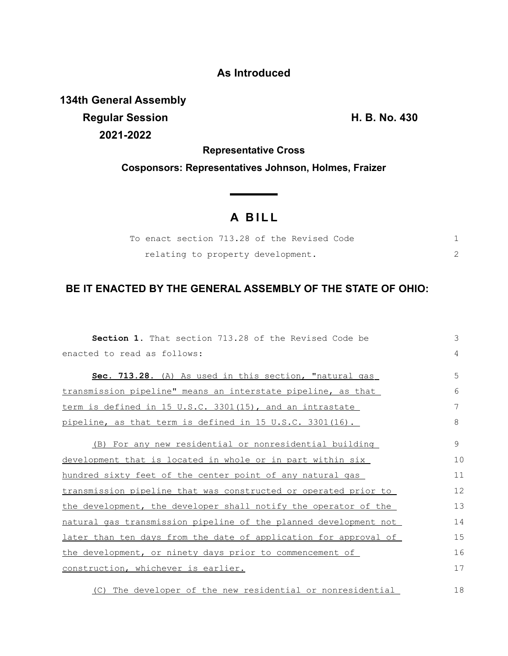## **As Introduced**

**134th General Assembly Regular Session H. B. No. 430 2021-2022**

**Representative Cross**

**Cosponsors: Representatives Johnson, Holmes, Fraizer**

## **A B I L L**

|  |                                   |  | To enact section 713.28 of the Revised Code |  |  |
|--|-----------------------------------|--|---------------------------------------------|--|--|
|  | relating to property development. |  |                                             |  |  |

## **BE IT ENACTED BY THE GENERAL ASSEMBLY OF THE STATE OF OHIO:**

| <b>Section 1.</b> That section 713.28 of the Revised Code be     | 3  |
|------------------------------------------------------------------|----|
| enacted to read as follows:                                      | 4  |
| Sec. 713.28. (A) As used in this section, "natural gas           | 5  |
| transmission pipeline" means an interstate pipeline, as that     | 6  |
| term is defined in 15 U.S.C. 3301(15), and an intrastate         |    |
| pipeline, as that term is defined in 15 U.S.C. 3301(16).         | 8  |
| (B) For any new residential or nonresidential building           | 9  |
| development that is located in whole or in part within six       | 10 |
| hundred sixty feet of the center point of any natural gas        | 11 |
| transmission pipeline that was constructed or operated prior to  | 12 |
| the development, the developer shall notify the operator of the  | 13 |
| natural gas transmission pipeline of the planned development not | 14 |
| later than ten days from the date of application for approval of | 15 |
| the development, or ninety days prior to commencement of         | 16 |
| construction, whichever is earlier.                              | 17 |
| (C) The developer of the new residential or nonresidential       | 18 |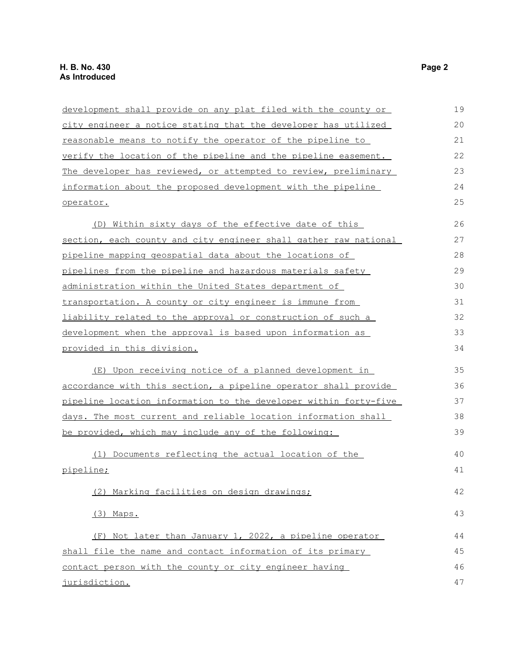| development shall provide on any plat filed with the county or   | 19 |
|------------------------------------------------------------------|----|
| city engineer a notice stating that the developer has utilized   | 20 |
| reasonable means to notify the operator of the pipeline to       | 21 |
| verify the location of the pipeline and the pipeline easement.   | 22 |
| The developer has reviewed, or attempted to review, preliminary  | 23 |
| information about the proposed development with the pipeline     | 24 |
| operator.                                                        | 25 |
| (D) Within sixty days of the effective date of this              | 26 |
| section, each county and city engineer shall gather raw national | 27 |
| pipeline mapping geospatial data about the locations of          | 28 |
| pipelines from the pipeline and hazardous materials safety       | 29 |
| administration within the United States department of            | 30 |
| transportation. A county or city engineer is immune from         | 31 |
| liability related to the approval or construction of such a      | 32 |
| development when the approval is based upon information as       | 33 |
| provided in this division.                                       | 34 |
| (E) Upon receiving notice of a planned development in            | 35 |
| accordance with this section, a pipeline operator shall provide  |    |
| pipeline location information to the developer within forty-five | 37 |
| days. The most current and reliable location information shall   | 38 |
| be provided, which may include any of the following:             | 39 |
| (1) Documents reflecting the actual location of the              | 40 |
| pipeline;                                                        | 41 |
| (2) Marking facilities on design drawings;                       | 42 |
| (3) Maps.                                                        | 43 |
| (F) Not later than January 1, 2022, a pipeline operator          | 44 |
| shall file the name and contact information of its primary       | 45 |
| contact person with the county or city engineer having           | 46 |
| jurisdiction.                                                    | 47 |